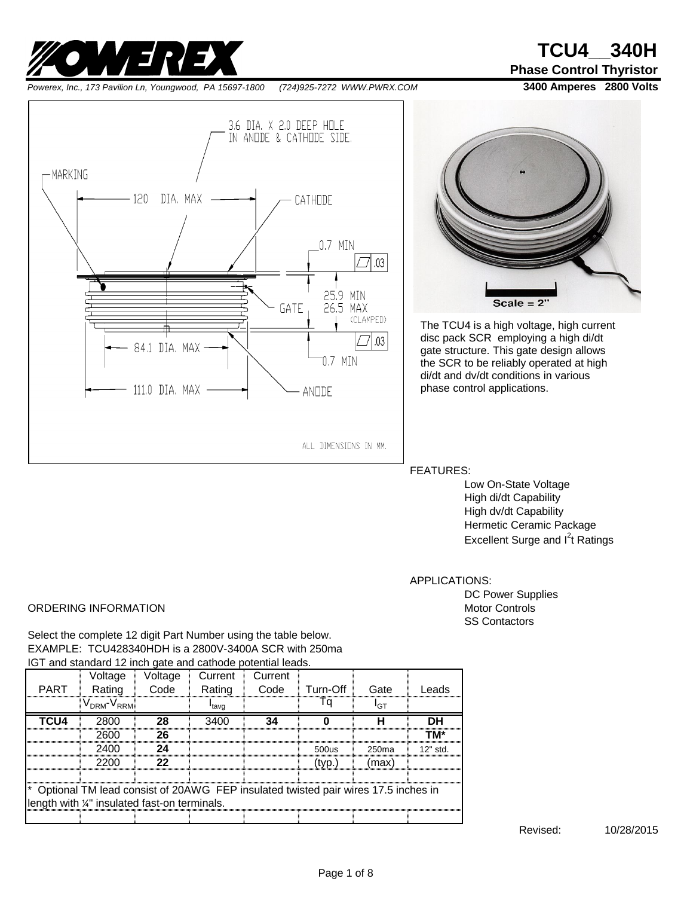

*Powerex, Inc., 173 Pavilion Ln, Youngwood, PA 15697-1800 (724)925-7272 WWW.PWRX.COM* **3400 Amperes 2800 Volts**

**Phase Control Thyristor**





The TCU4 is a high voltage, high current disc pack SCR employing a high di/dt gate structure. This gate design allows the SCR to be reliably operated at high di/dt and dv/dt conditions in various phase control applications.

FEATURES:

Low On-State Voltage High di/dt Capability High dv/dt Capability Hermetic Ceramic Package Excellent Surge and l<sup>2</sup>t Ratings

APPLICATIONS:

DC Power Supplies SS Contactors

#### ORDERING INFORMATION **Motor Controls** Motor Controls

Select the complete 12 digit Part Number using the table below. EXAMPLE: TCU428340HDH is a 2800V-3400A SCR with 250ma IGT and standard 12 inch gate and cathode potential leads.

|                                                                                     | Voltage                                            | Voltage | Current           | Current |          |       |            |
|-------------------------------------------------------------------------------------|----------------------------------------------------|---------|-------------------|---------|----------|-------|------------|
| <b>PART</b>                                                                         | Rating                                             | Code    | Rating            | Code    | Turn-Off | Gate  | eads       |
|                                                                                     | $V_{\mathsf{DRM}}$ - $\mathsf{V}_{\mathsf{RRM}}$ . |         | <sup>l</sup> tavq |         |          | דףי   |            |
| TCU4                                                                                | 2800                                               | 28      | 3400              | 34      |          |       | DН         |
|                                                                                     | 2600                                               | 26      |                   |         |          |       | тм∗        |
|                                                                                     | 2400                                               | 24      |                   |         | 500us    | 250ma | $12"$ std. |
|                                                                                     | 2200                                               | 22      |                   |         | (tvp.)   | (max) |            |
|                                                                                     |                                                    |         |                   |         |          |       |            |
| * Optional TM lead consist of 20AWG FEP insulated twisted pair wires 17.5 inches in |                                                    |         |                   |         |          |       |            |
| length with %" insulated fast-on terminals.                                         |                                                    |         |                   |         |          |       |            |
|                                                                                     |                                                    |         |                   |         |          |       |            |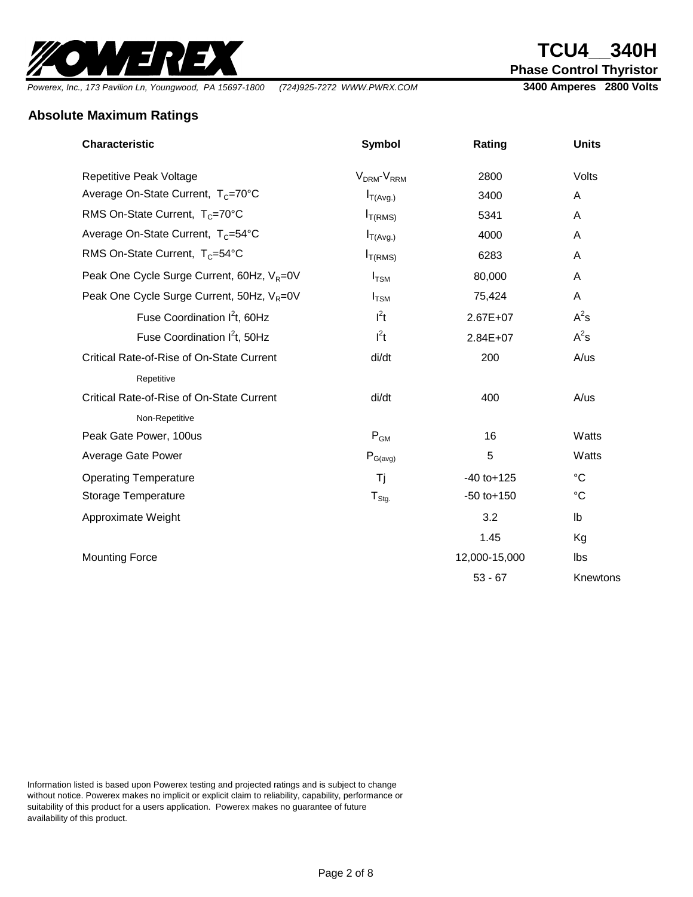

**Phase Control Thyristor**

*Powerex, Inc., 173 Pavilion Ln, Youngwood, PA 15697-1800 (724)925-7272 WWW.PWRX.COM* **3400 Amperes 2800 Volts**

#### **Absolute Maximum Ratings**

| <b>Characteristic</b>                                  | <b>Symbol</b>                      | Rating          | <b>Units</b>  |
|--------------------------------------------------------|------------------------------------|-----------------|---------------|
| Repetitive Peak Voltage                                | V <sub>DRM</sub> -V <sub>RRM</sub> | 2800            | Volts         |
| Average On-State Current, T <sub>C</sub> =70°C         | $I_{T(Avg.)}$                      | 3400            | A             |
| RMS On-State Current, $T_c = 70^{\circ}$ C             | I <sub>T(RMS)</sub>                | 5341            | A             |
| Average On-State Current, T <sub>C</sub> =54°C         | $I_{T(Avg.)}$                      | 4000            | A             |
| RMS On-State Current, T <sub>C</sub> =54°C             | I <sub>T(RMS)</sub>                | 6283            | A             |
| Peak One Cycle Surge Current, 60Hz, V <sub>R</sub> =0V | $I_{TSM}$                          | 80,000          | A             |
| Peak One Cycle Surge Current, 50Hz, V <sub>R</sub> =0V | $I_{TSM}$                          | 75,424          | A             |
| Fuse Coordination I <sup>2</sup> t, 60Hz               | $I^2t$                             | 2.67E+07        | $A^2s$        |
| Fuse Coordination $I^2t$ , 50Hz                        | $l^2t$                             | 2.84E+07        | $A^2s$        |
| Critical Rate-of-Rise of On-State Current              | di/dt                              | 200             | A/us          |
| Repetitive                                             |                                    |                 |               |
| Critical Rate-of-Rise of On-State Current              | di/dt                              | 400             | A/us          |
| Non-Repetitive                                         |                                    |                 |               |
| Peak Gate Power, 100us                                 | $\mathsf{P}_\mathsf{GM}$           | 16              | Watts         |
| Average Gate Power                                     | $P_{G(\text{avg})}$                | 5               | Watts         |
| <b>Operating Temperature</b>                           | Τj                                 | $-40$ to $+125$ | $^{\circ}C$   |
| Storage Temperature                                    | $T_{\text{Stg}}$                   | $-50$ to $+150$ | $^{\circ}C$   |
| Approximate Weight                                     |                                    | 3.2             | $\mathsf{lb}$ |
|                                                        |                                    | 1.45            | Kg            |
| <b>Mounting Force</b>                                  |                                    | 12,000-15,000   | Ibs           |
|                                                        |                                    | $53 - 67$       | Knewtons      |

Information listed is based upon Powerex testing and projected ratings and is subject to change without notice. Powerex makes no implicit or explicit claim to reliability, capability, performance or suitability of this product for a users application. Powerex makes no guarantee of future availability of this product.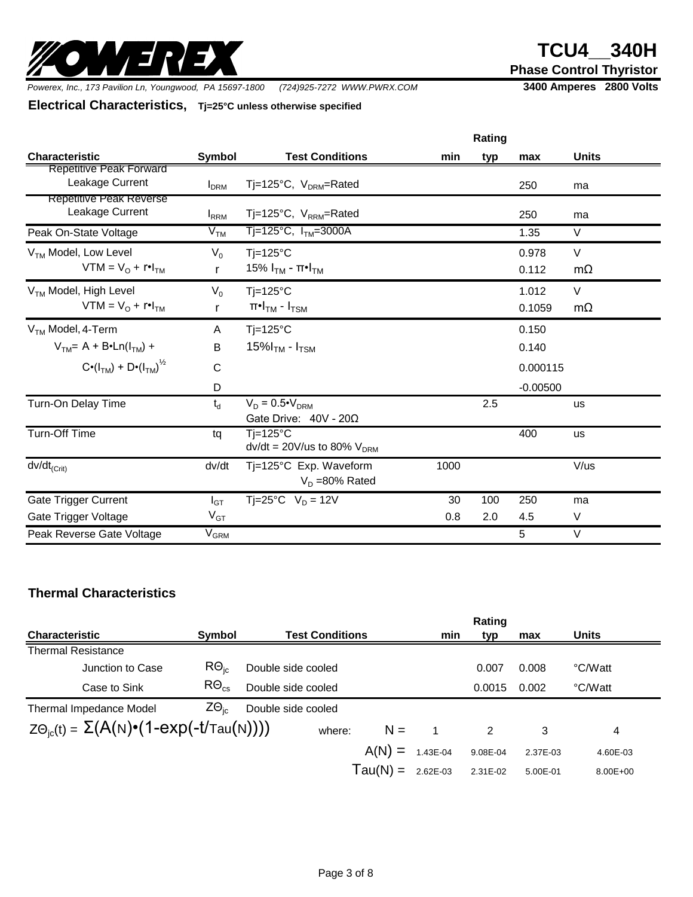

**Phase Control Thyristor**

*Powerex, Inc., 173 Pavilion Ln, Youngwood, PA 15697-1800 (724)925-7272 WWW.PWRX.COM* **3400 Amperes 2800 Volts**

**Electrical Characteristics, Tj=25°C unless otherwise specified**

|                                                                          | Rating                  |                                                                  |      |     |                        |                     |  |
|--------------------------------------------------------------------------|-------------------------|------------------------------------------------------------------|------|-----|------------------------|---------------------|--|
| <b>Characteristic</b>                                                    | <b>Symbol</b>           | <b>Test Conditions</b>                                           | min  | typ | max                    | <b>Units</b>        |  |
| <b>Repetitive Peak Forward</b><br>Leakage Current                        | <b>I</b> <sub>DRM</sub> | Tj=125°C, V <sub>DRM</sub> =Rated                                |      |     | 250                    | ma                  |  |
| Repetitive Peak Reverse<br>Leakage Current                               | <b>I</b> <sub>RRM</sub> | Tj=125°C, $V_{RRM}$ =Rated                                       |      |     | 250                    | ma                  |  |
| Peak On-State Voltage                                                    | V <sub>TM</sub>         | $Tj=125^{\circ}C$ , $I_{TM}=3000A$                               |      |     | 1.35                   | $\vee$              |  |
| V <sub>TM</sub> Model, Low Level<br>$VTM = VO + r•ITM$                   | $V_0$<br>r              | $Ti=125^{\circ}C$<br>15% Ι <sub>ΤΜ</sub> - π•Ι <sub>ΤΜ</sub>     |      |     | 0.978<br>0.112         | V<br>$m\Omega$      |  |
| V <sub>TM</sub> Model, High Level<br>$VTM = V_{\Omega} + r \cdot I_{TM}$ | $V_0$<br>r              | $Ti=125^{\circ}C$<br>$\pi$ •I $_{\text{TM}}$ - I $_{\text{TSM}}$ |      |     | 1.012<br>0.1059        | $\vee$<br>$m\Omega$ |  |
| $VTM$ Model, 4-Term<br>$VTM = A + B*Ln(ITM) +$                           | A<br>B                  | $Tj=125^{\circ}C$<br>15% $ITM$ - $ITSM$                          |      |     | 0.150<br>0.140         |                     |  |
| $C \cdot (I_{TM}) + D \cdot (I_{TM})^{1/2}$                              | $\mathsf{C}$<br>D       |                                                                  |      |     | 0.000115<br>$-0.00500$ |                     |  |
| Turn-On Delay Time                                                       | $t_d$                   | $V_D = 0.5 \cdot V_{DRM}$<br>Gate Drive: $40V - 20\Omega$        |      | 2.5 |                        | <b>us</b>           |  |
| <b>Turn-Off Time</b>                                                     | tq                      | $Ti=125^{\circ}C$<br>$dv/dt = 20 V/us$ to 80% $VDRM$             |      |     | 400                    | <b>us</b>           |  |
| $dv/dt_{(Crit)}$                                                         | dv/dt                   | Ti=125°C Exp. Waveform<br>$V_D = 80\%$ Rated                     | 1000 |     |                        | V/us                |  |
| <b>Gate Trigger Current</b>                                              | $I_{GT}$                | $T = 25^{\circ}C$ V <sub>n</sub> = 12V                           | 30   | 100 | 250                    | ma                  |  |
| Gate Trigger Voltage                                                     | $V_{GT}$                |                                                                  | 0.8  | 2.0 | 4.5                    | V                   |  |
| Peak Reverse Gate Voltage                                                | $\rm V_{GRM}$           |                                                                  |      |     | 5                      | $\vee$              |  |

#### **Thermal Characteristics**

|                                                                        |                         |                        |            |          | Rating   |          |              |
|------------------------------------------------------------------------|-------------------------|------------------------|------------|----------|----------|----------|--------------|
| <b>Characteristic</b>                                                  | Symbol                  | <b>Test Conditions</b> |            | min      | typ      | max      | <b>Units</b> |
| <b>Thermal Resistance</b>                                              |                         |                        |            |          |          |          |              |
| Junction to Case                                                       | $R\Theta_{ic}$          | Double side cooled     |            |          | 0.007    | 0.008    | °C/Watt      |
| Case to Sink                                                           | $R\Theta_{\mathrm{cs}}$ | Double side cooled     |            |          | 0.0015   | 0.002    | °C/Watt      |
| <b>Thermal Impedance Model</b>                                         | $Z\Theta_{\text{ic}}$   | Double side cooled     |            |          |          |          |              |
| $Z\Theta_{\text{ic}}(t) = \Sigma(A(N)\cdot(1-\exp(-t/\text{Tau}(N))))$ |                         | where:                 | $N =$      |          | 2        | 3        | 4            |
|                                                                        |                         |                        | $A(N) =$   | 1.43E-04 | 9.08E-04 | 2.37E-03 | 4.60E-03     |
|                                                                        |                         |                        | $Tau(N) =$ | 2.62E-03 | 2.31E-02 | 5.00E-01 | $8.00E + 00$ |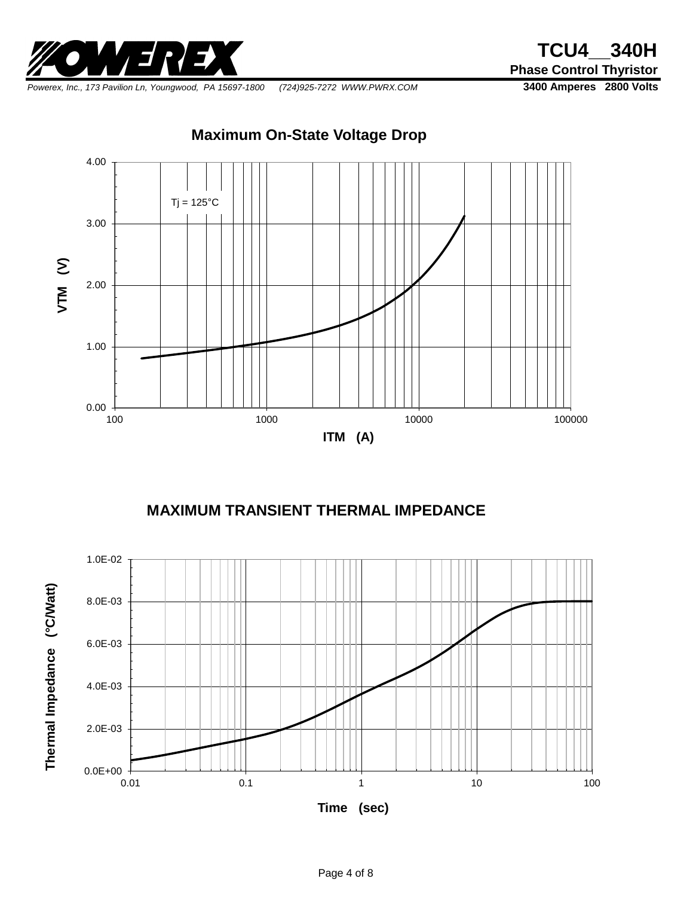

**Phase Control Thyristor**

*Powerex, Inc., 173 Pavilion Ln, Youngwood, PA 15697-1800 (724)925-7272 WWW.PWRX.COM* **3400 Amperes 2800 Volts**

**Maximum On-State Voltage Drop**



### **MAXIMUM TRANSIENT THERMAL IMPEDANCE**



**Time (sec)**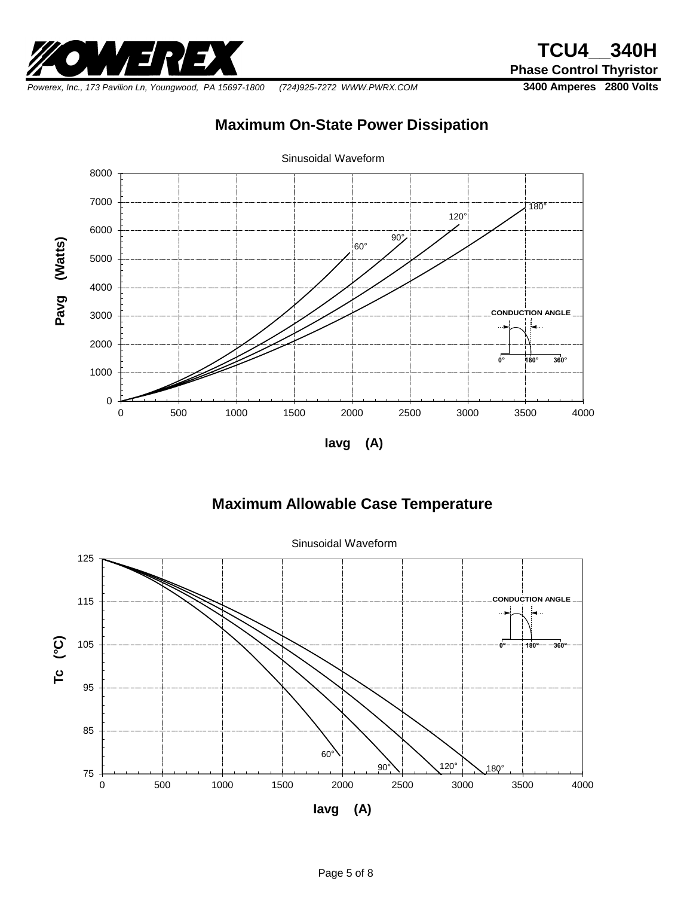

*Powerex, Inc., 173 Pavilion Ln, Youngwood, PA 15697-1800 (724)925-7272 WWW.PWRX.COM* **3400 Amperes 2800 Volts**

## **Maximum On-State Power Dissipation**



## **Maximum Allowable Case Temperature**



Sinusoidal Waveform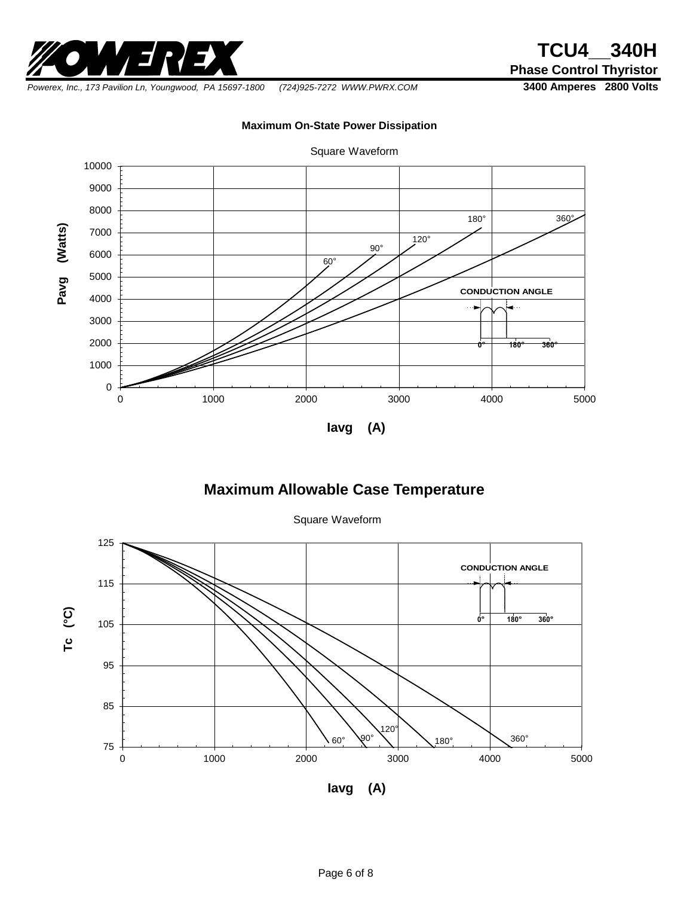

**Phase Control Thyristor**

*Powerex, Inc., 173 Pavilion Ln, Youngwood, PA 15697-1800 (724)925-7272 WWW.PWRX.COM* **3400 Amperes 2800 Volts**

**Maximum On-State Power Dissipation**



## Square Waveform

#### **Maximum Allowable Case Temperature**

Square Waveform

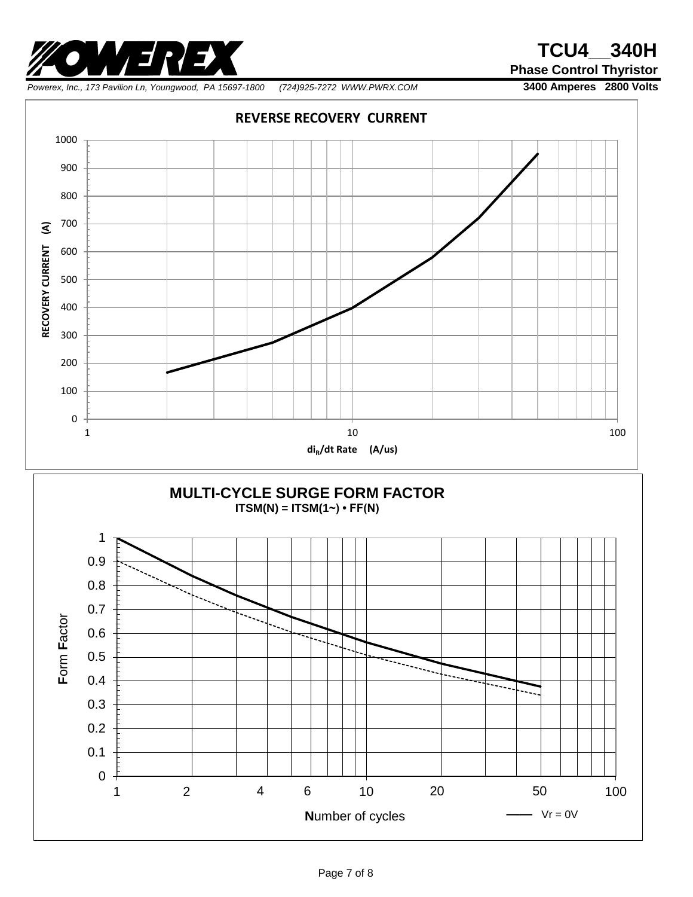

**Phase Control Thyristor**

*Powerex, Inc., 173 Pavilion Ln, Youngwood, PA 15697-1800 (724)925-7272 WWW.PWRX.COM* **3400 Amperes 2800 Volts**